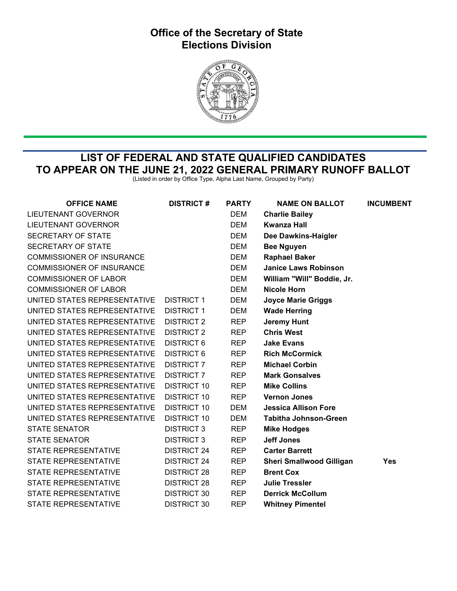## Office of the Secretary of State Elections Division



## LIST OF FEDERAL AND STATE QUALIFIED CANDIDATES TO APPEAR ON THE JUNE 21, 2022 GENERAL PRIMARY RUNOFF BALLOT

(Listed in order by Office Type, Alpha Last Name, Grouped by Party)

| <b>OFFICE NAME</b>               | <b>DISTRICT#</b>   | <b>PARTY</b> | <b>NAME ON BALLOT</b>           | <b>INCUMBENT</b> |
|----------------------------------|--------------------|--------------|---------------------------------|------------------|
| LIEUTENANT GOVERNOR              |                    | <b>DEM</b>   | <b>Charlie Bailey</b>           |                  |
| LIEUTENANT GOVERNOR              |                    | <b>DEM</b>   | Kwanza Hall                     |                  |
| SECRETARY OF STATE               |                    | <b>DEM</b>   | Dee Dawkins-Haigler             |                  |
| SECRETARY OF STATE               |                    | DEM          | <b>Bee Nguyen</b>               |                  |
| <b>COMMISSIONER OF INSURANCE</b> |                    | <b>DEM</b>   | <b>Raphael Baker</b>            |                  |
| <b>COMMISSIONER OF INSURANCE</b> |                    | <b>DEM</b>   | <b>Janice Laws Robinson</b>     |                  |
| <b>COMMISSIONER OF LABOR</b>     |                    | <b>DEM</b>   | William "Will" Boddie, Jr.      |                  |
| <b>COMMISSIONER OF LABOR</b>     |                    | <b>DEM</b>   | <b>Nicole Horn</b>              |                  |
| UNITED STATES REPRESENTATIVE     | <b>DISTRICT 1</b>  | DEM          | <b>Joyce Marie Griggs</b>       |                  |
| UNITED STATES REPRESENTATIVE     | <b>DISTRICT 1</b>  | <b>DEM</b>   | <b>Wade Herring</b>             |                  |
| UNITED STATES REPRESENTATIVE     | <b>DISTRICT 2</b>  | <b>REP</b>   | <b>Jeremy Hunt</b>              |                  |
| UNITED STATES REPRESENTATIVE     | <b>DISTRICT 2</b>  | <b>REP</b>   | <b>Chris West</b>               |                  |
| UNITED STATES REPRESENTATIVE     | <b>DISTRICT 6</b>  | <b>REP</b>   | <b>Jake Evans</b>               |                  |
| UNITED STATES REPRESENTATIVE     | <b>DISTRICT 6</b>  | <b>REP</b>   | <b>Rich McCormick</b>           |                  |
| UNITED STATES REPRESENTATIVE     | <b>DISTRICT 7</b>  | <b>REP</b>   | <b>Michael Corbin</b>           |                  |
| UNITED STATES REPRESENTATIVE     | <b>DISTRICT 7</b>  | <b>REP</b>   | <b>Mark Gonsalves</b>           |                  |
| UNITED STATES REPRESENTATIVE     | <b>DISTRICT 10</b> | <b>REP</b>   | <b>Mike Collins</b>             |                  |
| UNITED STATES REPRESENTATIVE     | <b>DISTRICT 10</b> | <b>REP</b>   | <b>Vernon Jones</b>             |                  |
| UNITED STATES REPRESENTATIVE     | <b>DISTRICT 10</b> | DEM          | <b>Jessica Allison Fore</b>     |                  |
| UNITED STATES REPRESENTATIVE     | DISTRICT 10        | <b>DEM</b>   | <b>Tabitha Johnson-Green</b>    |                  |
| <b>STATE SENATOR</b>             | <b>DISTRICT 3</b>  | <b>REP</b>   | <b>Mike Hodges</b>              |                  |
| <b>STATE SENATOR</b>             | <b>DISTRICT 3</b>  | <b>REP</b>   | <b>Jeff Jones</b>               |                  |
| <b>STATE REPRESENTATIVE</b>      | <b>DISTRICT 24</b> | <b>REP</b>   | <b>Carter Barrett</b>           |                  |
| <b>STATE REPRESENTATIVE</b>      | <b>DISTRICT 24</b> | <b>REP</b>   | <b>Sheri Smallwood Gilligan</b> | <b>Yes</b>       |
| <b>STATE REPRESENTATIVE</b>      | <b>DISTRICT 28</b> | <b>REP</b>   | <b>Brent Cox</b>                |                  |
| STATE REPRESENTATIVE             | <b>DISTRICT 28</b> | <b>REP</b>   | <b>Julie Tressler</b>           |                  |
| <b>STATE REPRESENTATIVE</b>      | <b>DISTRICT 30</b> | <b>REP</b>   | <b>Derrick McCollum</b>         |                  |
| <b>STATE REPRESENTATIVE</b>      | <b>DISTRICT 30</b> | <b>REP</b>   | <b>Whitney Pimentel</b>         |                  |